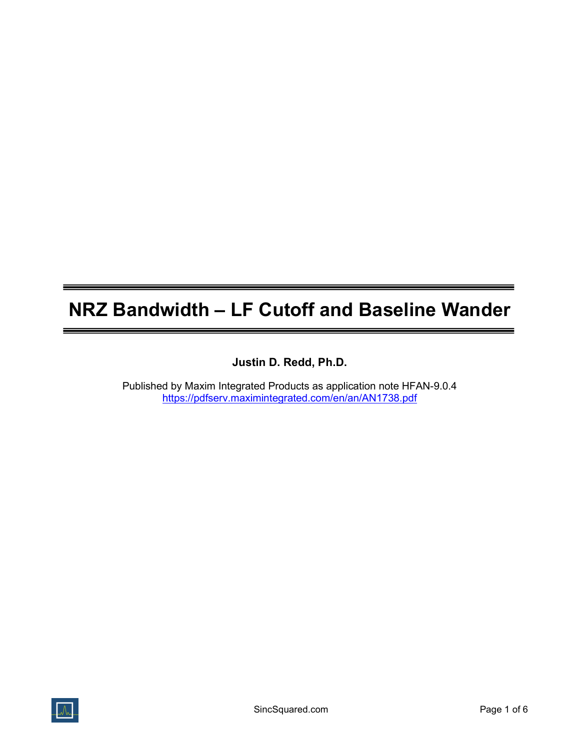# NRZ Bandwidth – LF Cutoff and Baseline Wander

Justin D. Redd, Ph.D.

Published by Maxim Integrated Products as application note HFAN-9.0.4 https://pdfserv.maximintegrated.com/en/an/AN1738.pdf

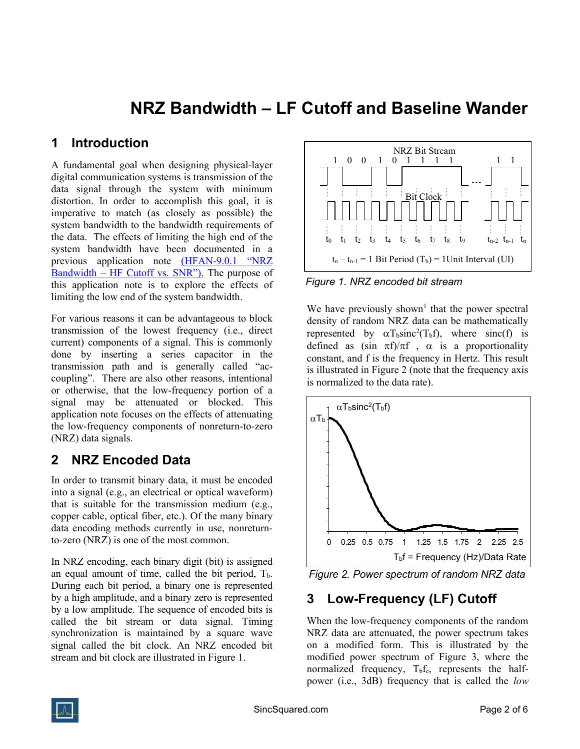## NRZ Bandwidth – LF Cutoff and Baseline Wander

#### 1 Introduction

A fundamental goal when designing physical-layer digital communication systems is transmission of the data signal through the system with minimum distortion. In order to accomplish this goal, it is imperative to match (as closely as possible) the system bandwidth to the bandwidth requirements of the data. The effects of limiting the high end of the system bandwidth have been documented in a previous application note (HFAN-9.0.1 "NRZ Bandwidth – HF Cutoff vs. SNR"). The purpose of this application note is to explore the effects of limiting the low end of the system bandwidth.

For various reasons it can be advantageous to block transmission of the lowest frequency (i.e., direct current) components of a signal. This is commonly done by inserting a series capacitor in the transmission path and is generally called "accoupling". There are also other reasons, intentional or otherwise, that the low-frequency portion of a signal may be attenuated or blocked. This application note focuses on the effects of attenuating the low-frequency components of nonreturn-to-zero (NRZ) data signals.

#### 2 NRZ Encoded Data

In order to transmit binary data, it must be encoded into a signal (e.g., an electrical or optical waveform) that is suitable for the transmission medium (e.g., copper cable, optical fiber, etc.). Of the many binary data encoding methods currently in use, nonreturnto-zero (NRZ) is one of the most common.

In NRZ encoding, each binary digit (bit) is assigned an equal amount of time, called the bit period,  $T<sub>b</sub>$ . During each bit period, a binary one is represented by a high amplitude, and a binary zero is represented by a low amplitude. The sequence of encoded bits is called the bit stream or data signal. Timing synchronization is maintained by a square wave signal called the bit clock. An NRZ encoded bit stream and bit clock are illustrated in Figure 1.



Figure 1. NRZ encoded bit stream

We have previously shown<sup>1</sup> that the power spectral density of random NRZ data can be mathematically represented by  $\alpha$ T<sub>b</sub>sinc<sup>2</sup>(T<sub>b</sub>f), where sinc(f) is defined as (sin  $\pi f/\pi f$ ,  $\alpha$  is a proportionality constant, and f is the frequency in Hertz. This result is illustrated in Figure 2 (note that the frequency axis is normalized to the data rate).



Figure 2. Power spectrum of random NRZ data

### 3 Low-Frequency (LF) Cutoff

When the low-frequency components of the random NRZ data are attenuated, the power spectrum takes on a modified form. This is illustrated by the modified power spectrum of Figure 3, where the normalized frequency,  $T_b f_c$ , represents the halfpower (i.e., 3dB) frequency that is called the *low*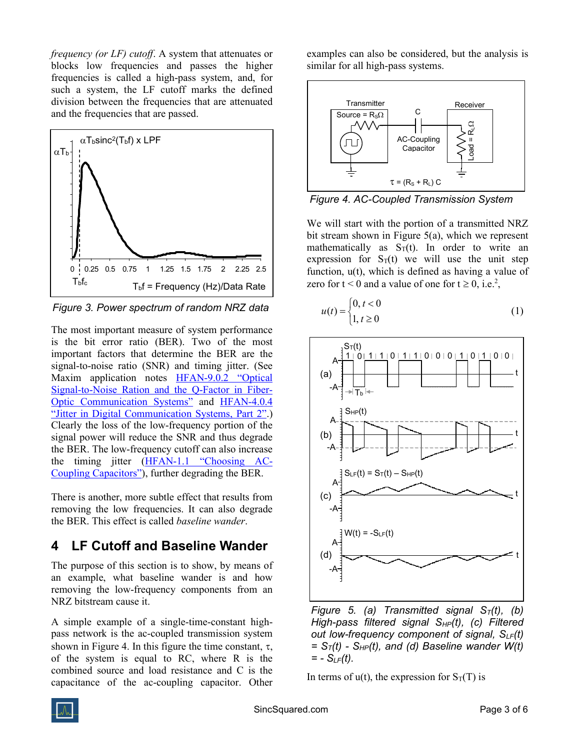frequency (or LF) cutoff. A system that attenuates or blocks low frequencies and passes the higher frequencies is called a high-pass system, and, for such a system, the LF cutoff marks the defined division between the frequencies that are attenuated and the frequencies that are passed.



Figure 3. Power spectrum of random NRZ data

The most important measure of system performance is the bit error ratio (BER). Two of the most important factors that determine the BER are the signal-to-noise ratio (SNR) and timing jitter. (See Maxim application notes HFAN-9.0.2 "Optical Signal-to-Noise Ration and the Q-Factor in Fiber-Optic Communication Systems" and HFAN-4.0.4 "Jitter in Digital Communication Systems, Part 2".) Clearly the loss of the low-frequency portion of the signal power will reduce the SNR and thus degrade the BER. The low-frequency cutoff can also increase the timing jitter (HFAN-1.1 "Choosing AC-Coupling Capacitors"), further degrading the BER.

There is another, more subtle effect that results from removing the low frequencies. It can also degrade the BER. This effect is called baseline wander.

#### 4 LF Cutoff and Baseline Wander

The purpose of this section is to show, by means of an example, what baseline wander is and how removing the low-frequency components from an NRZ bitstream cause it.

A simple example of a single-time-constant highpass network is the ac-coupled transmission system shown in Figure 4. In this figure the time constant,  $\tau$ . of the system is equal to RC, where R is the combined source and load resistance and C is the capacitance of the ac-coupling capacitor. Other examples can also be considered, but the analysis is similar for all high-pass systems.



Figure 4. AC-Coupled Transmission System

We will start with the portion of a transmitted NRZ bit stream shown in Figure 5(a), which we represent mathematically as  $S_T(t)$ . In order to write an expression for  $S_T(t)$  we will use the unit step function, u(t), which is defined as having a value of zero for  $t < 0$  and a value of one for  $t \ge 0$ , i.e.<sup>2</sup>,

$$
u(t) = \begin{cases} 0, t < 0\\ 1, t \ge 0 \end{cases} \tag{1}
$$



Figure 5. (a) Transmitted signal  $S_T(t)$ , (b) High-pass filtered signal  $S_{HP}(t)$ , (c) Filtered out low-frequency component of signal,  $S_{LF}(t)$  $= S_T(t) - S_{HP}(t)$ , and (d) Baseline wander W(t)  $= - S_{LF}(t)$ .

In terms of  $u(t)$ , the expression for  $S_T(T)$  is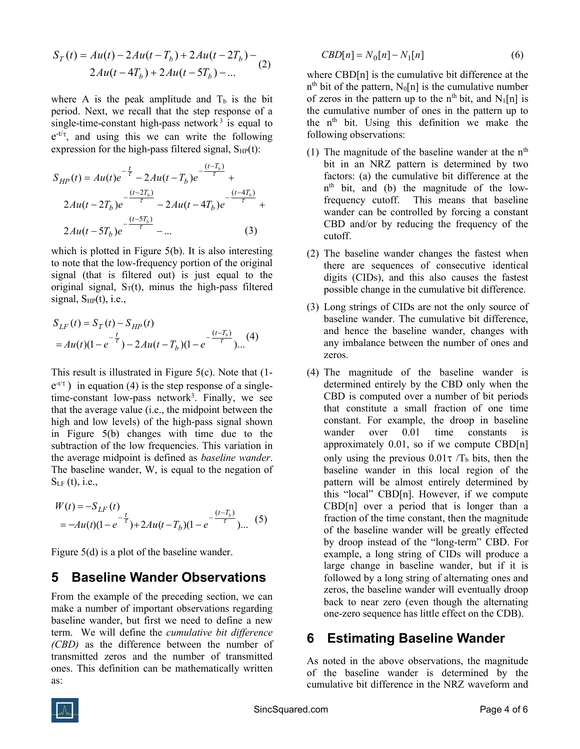$$
S_T(t) = Au(t) - 2Au(t - T_b) + 2Au(t - 2T_b) - 2Au(t - 4T_b) + 2Au(t - 5T_b) - ...
$$
\n(2)

where A is the peak amplitude and  $T<sub>b</sub>$  is the bit period. Next, we recall that the step response of a single-time-constant high-pass network<sup>3</sup> is equal to  $e^{-t/\tau}$ , and using this we can write the following expression for the high-pass filtered signal,  $S_{HP}(t)$ :

$$
S_{HP}(t) = Au(t)e^{-\frac{t}{\tau}} - 2Au(t - T_b)e^{-\frac{(t - T_b)}{\tau}} +
$$
  

$$
2Au(t - 2T_b)e^{-\frac{(t - 2T_b)}{\tau}} - 2Au(t - 4T_b)e^{-\frac{(t - 4T_b)}{\tau}} +
$$
  

$$
2Au(t - 5T_b)e^{-\frac{(t - 5T_b)}{\tau}} - ...
$$
 (3)

which is plotted in Figure 5(b). It is also interesting to note that the low-frequency portion of the original signal (that is filtered out) is just equal to the original signal,  $S_T(t)$ , minus the high-pass filtered signal,  $S_{HP}(t)$ , i.e.,

$$
S_{LF}(t) = S_T(t) - S_{HP}(t)
$$
  
=  $Au(t)(1 - e^{-\frac{t}{\tau}}) - 2Au(t - T_b)(1 - e^{-\frac{(t - T_b)}{\tau}})...$  (4)

This result is illustrated in Figure 5(c). Note that (1  $e^{-t/\tau}$ ) in equation (4) is the step response of a singletime-constant low-pass network<sup>3</sup>. Finally, we see that the average value (i.e., the midpoint between the high and low levels) of the high-pass signal shown in Figure 5(b) changes with time due to the subtraction of the low frequencies. This variation in the average midpoint is defined as baseline wander. The baseline wander, W, is equal to the negation of  $S_{LF} (t)$ , i.e.,

$$
W(t) = -S_{LF}(t)
$$
  
=  $-Au(t)(1 - e^{-\frac{t}{\tau}}) + 2Au(t - T_b)(1 - e^{-\frac{(t - T_b)}{\tau}})...$  (5)

Figure 5(d) is a plot of the baseline wander.

#### 5 Baseline Wander Observations

From the example of the preceding section, we can make a number of important observations regarding baseline wander, but first we need to define a new term. We will define the cumulative bit difference (CBD) as the difference between the number of transmitted zeros and the number of transmitted ones. This definition can be mathematically written as:

$$
CBD[n] = N_0[n] - N_1[n] \tag{6}
$$

where CBD[n] is the cumulative bit difference at the  $n<sup>th</sup>$  bit of the pattern,  $N_0[n]$  is the cumulative number of zeros in the pattern up to the n<sup>th</sup> bit, and  $N_1[n]$  is the cumulative number of ones in the pattern up to the n<sup>th</sup> bit. Using this definition we make the following observations:

- (1) The magnitude of the baseline wander at the  $n<sup>th</sup>$ bit in an NRZ pattern is determined by two factors: (a) the cumulative bit difference at the n th bit, and (b) the magnitude of the lowfrequency cutoff. This means that baseline wander can be controlled by forcing a constant CBD and/or by reducing the frequency of the cutoff.
- (2) The baseline wander changes the fastest when there are sequences of consecutive identical digits (CIDs), and this also causes the fastest possible change in the cumulative bit difference.
- (3) Long strings of CIDs are not the only source of baseline wander. The cumulative bit difference, and hence the baseline wander, changes with any imbalance between the number of ones and zeros.
- (4) The magnitude of the baseline wander is determined entirely by the CBD only when the CBD is computed over a number of bit periods that constitute a small fraction of one time constant. For example, the droop in baseline wander over 0.01 time constants is approximately 0.01, so if we compute CBD[n] only using the previous  $0.01\tau/T_b$  bits, then the baseline wander in this local region of the pattern will be almost entirely determined by this "local" CBD[n]. However, if we compute CBD[n] over a period that is longer than a fraction of the time constant, then the magnitude of the baseline wander will be greatly effected by droop instead of the "long-term" CBD. For example, a long string of CIDs will produce a large change in baseline wander, but if it is followed by a long string of alternating ones and zeros, the baseline wander will eventually droop back to near zero (even though the alternating one-zero sequence has little effect on the CDB).

#### 6 Estimating Baseline Wander

As noted in the above observations, the magnitude of the baseline wander is determined by the cumulative bit difference in the NRZ waveform and

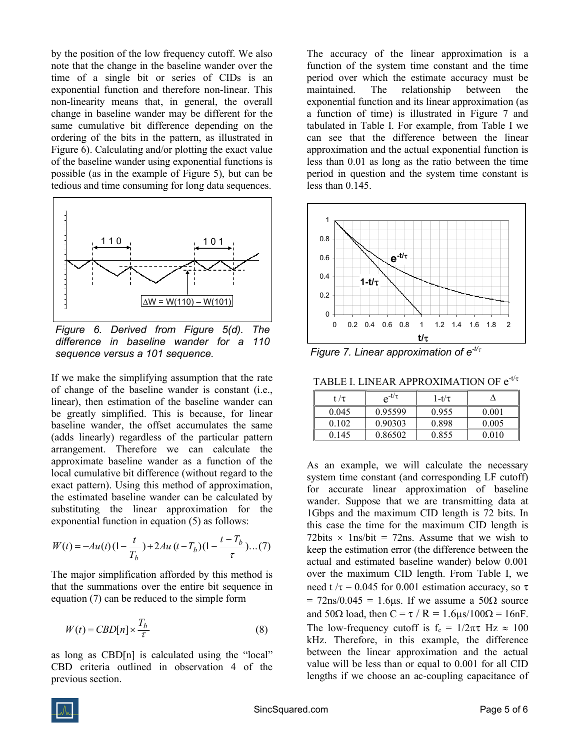by the position of the low frequency cutoff. We also note that the change in the baseline wander over the time of a single bit or series of CIDs is an exponential function and therefore non-linear. This non-linearity means that, in general, the overall change in baseline wander may be different for the same cumulative bit difference depending on the ordering of the bits in the pattern, as illustrated in Figure 6). Calculating and/or plotting the exact value of the baseline wander using exponential functions is possible (as in the example of Figure 5), but can be tedious and time consuming for long data sequences.



Figure 6. Derived from Figure 5(d). The difference in baseline wander for a 110 sequence versus a 101 sequence.

If we make the simplifying assumption that the rate of change of the baseline wander is constant (i.e., linear), then estimation of the baseline wander can be greatly simplified. This is because, for linear baseline wander, the offset accumulates the same (adds linearly) regardless of the particular pattern arrangement. Therefore we can calculate the approximate baseline wander as a function of the local cumulative bit difference (without regard to the exact pattern). Using this method of approximation, the estimated baseline wander can be calculated by substituting the linear approximation for the exponential function in equation (5) as follows:

$$
W(t) = -Au(t)(1 - \frac{t}{T_b}) + 2Au(t - T_b)(1 - \frac{t - T_b}{\tau})...(7)
$$

The major simplification afforded by this method is that the summations over the entire bit sequence in equation (7) can be reduced to the simple form

$$
W(t) = CBD[n] \times \frac{T_b}{\tau}
$$
 (8)

as long as CBD[n] is calculated using the "local" CBD criteria outlined in observation 4 of the previous section.

The accuracy of the linear approximation is a function of the system time constant and the time period over which the estimate accuracy must be maintained. The relationship between the exponential function and its linear approximation (as a function of time) is illustrated in Figure 7 and tabulated in Table I. For example, from Table I we can see that the difference between the linear approximation and the actual exponential function is less than 0.01 as long as the ratio between the time period in question and the system time constant is less than 0.145.



Figure 7. Linear approximation of  $e^{-t/\tau}$ 

TABLE I. LINEAR APPROXIMATION OF  $e^{t/\tau}$ 

| t / $\tau$ | $e^{-t/\tau}$ | $1-t/\tau$ |       |
|------------|---------------|------------|-------|
| 0.045      | 0.95599       | 0.955      | 0.001 |
| 0.102      | 0.90303       | 0.898      | 0.005 |
| 0.145      | 0.86502       | 0.855      | 0.010 |

As an example, we will calculate the necessary system time constant (and corresponding LF cutoff) for accurate linear approximation of baseline wander. Suppose that we are transmitting data at 1Gbps and the maximum CID length is 72 bits. In this case the time for the maximum CID length is 72bits  $\times$  1ns/bit = 72ns. Assume that we wish to keep the estimation error (the difference between the actual and estimated baseline wander) below 0.001 over the maximum CID length. From Table I, we need t / $\tau$  = 0.045 for 0.001 estimation accuracy, so  $\tau$  $= 72$ ns/0.045 = 1.6 $\mu$ s. If we assume a 50 $\Omega$  source and 50 $\Omega$  load, then C =  $\tau$  / R = 1.6 $\mu$ s/100 $\Omega$  = 16nF. The low-frequency cutoff is  $f_c = 1/2\pi\tau$  Hz  $\approx 100$ kHz. Therefore, in this example, the difference between the linear approximation and the actual value will be less than or equal to 0.001 for all CID lengths if we choose an ac-coupling capacitance of